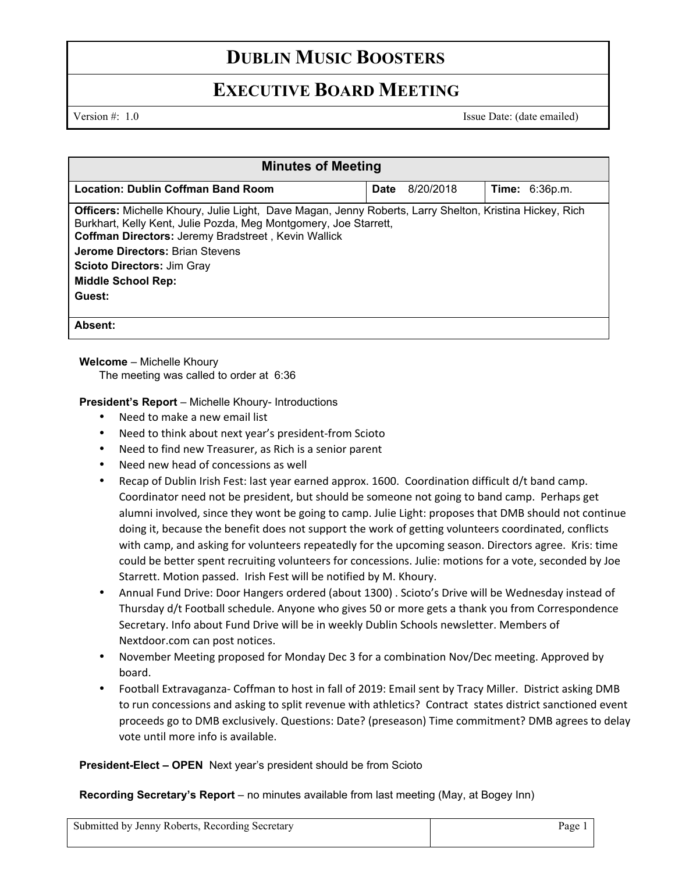# **DUBLIN MUSIC BOOSTERS**

## **EXECUTIVE BOARD MEETING**

Version #: 1.0 Issue Date: (date emailed)

| <b>Minutes of Meeting</b>                                                                                                                                                                                                                                                                                                                                       |             |           |                       |  |  |
|-----------------------------------------------------------------------------------------------------------------------------------------------------------------------------------------------------------------------------------------------------------------------------------------------------------------------------------------------------------------|-------------|-----------|-----------------------|--|--|
| <b>Location: Dublin Coffman Band Room</b>                                                                                                                                                                                                                                                                                                                       | <b>Date</b> | 8/20/2018 | <b>Time: 6:36p.m.</b> |  |  |
| <b>Officers:</b> Michelle Khoury, Julie Light, Dave Magan, Jenny Roberts, Larry Shelton, Kristina Hickey, Rich<br>Burkhart, Kelly Kent, Julie Pozda, Meg Montgomery, Joe Starrett,<br>Coffman Directors: Jeremy Bradstreet, Kevin Wallick<br><b>Jerome Directors: Brian Stevens</b><br><b>Scioto Directors: Jim Gray</b><br><b>Middle School Rep:</b><br>Guest: |             |           |                       |  |  |
| Absent:                                                                                                                                                                                                                                                                                                                                                         |             |           |                       |  |  |

### **Welcome** – Michelle Khoury

The meeting was called to order at 6:36

### **President's Report** – Michelle Khoury- Introductions

- Need to make a new email list
- Need to think about next year's president-from Scioto
- Need to find new Treasurer, as Rich is a senior parent
- Need new head of concessions as well
- Recap of Dublin Irish Fest: last year earned approx. 1600. Coordination difficult d/t band camp. Coordinator need not be president, but should be someone not going to band camp. Perhaps get alumni involved, since they wont be going to camp. Julie Light: proposes that DMB should not continue doing it, because the benefit does not support the work of getting volunteers coordinated, conflicts with camp, and asking for volunteers repeatedly for the upcoming season. Directors agree. Kris: time could be better spent recruiting volunteers for concessions. Julie: motions for a vote, seconded by Joe Starrett. Motion passed. Irish Fest will be notified by M. Khoury.
- Annual Fund Drive: Door Hangers ordered (about 1300) . Scioto's Drive will be Wednesday instead of Thursday d/t Football schedule. Anyone who gives 50 or more gets a thank you from Correspondence Secretary. Info about Fund Drive will be in weekly Dublin Schools newsletter. Members of Nextdoor.com can post notices.
- November Meeting proposed for Monday Dec 3 for a combination Nov/Dec meeting. Approved by board.
- Football Extravaganza- Coffman to host in fall of 2019: Email sent by Tracy Miller. District asking DMB to run concessions and asking to split revenue with athletics? Contract states district sanctioned event proceeds go to DMB exclusively. Questions: Date? (preseason) Time commitment? DMB agrees to delay vote until more info is available.

**President-Elect – OPEN** Next year's president should be from Scioto

**Recording Secretary's Report** – no minutes available from last meeting (May, at Bogey Inn)

| Submitted by Jenny Roberts, Recording Secretary | $Dage1$ |
|-------------------------------------------------|---------|
|-------------------------------------------------|---------|